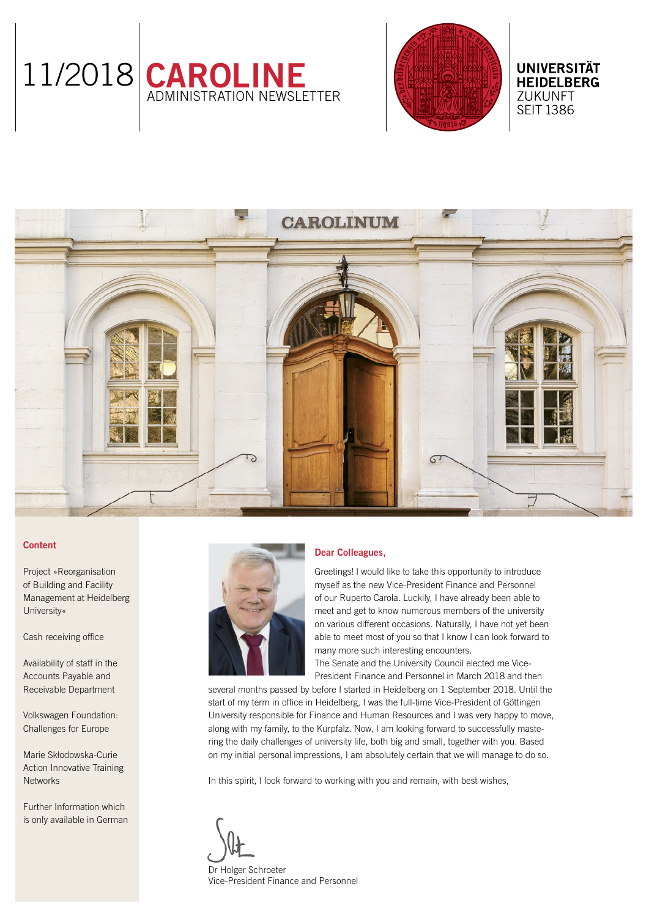



**UNIVERSITÄT HEIDELBERG ZUKUNFT SEIT 1386** 

# **CAROLINIIM**

# Content

[Project »Reorganisation](#page-1-0)  [of Building and Facility](#page-1-0)  [Management at Heidelberg](#page-1-0)  [University«](#page-1-0)

[Cash receiving office](#page-1-0) 

[Availability of staff in the](#page-1-0)  [Accounts Payable and](#page-1-0)  [Receivable Department](#page-1-0)

[Volkswagen Foundation:](#page-1-0)  [Challenges for Europe](#page-1-0) 

[Marie Skłodowska-Curie](#page-2-0)  [Action Innovative Training](#page-2-0)  **[Networks](#page-2-0)** 

[Further Information which](#page-2-0)  [is only available in German](#page-2-0)



# Dear Colleagues,

Greetings! I would like to take this opportunity to introduce myself as the new Vice-President Finance and Personnel of our Ruperto Carola. Luckily, I have already been able to meet and get to know numerous members of the university on various different occasions. Naturally, I have not yet been able to meet most of you so that I know I can look forward to many more such interesting encounters.

The Senate and the University Council elected me Vice-President Finance and Personnel in March 2018 and then

several months passed by before I started in Heidelberg on 1 September 2018. Until the start of my term in office in Heidelberg, I was the full-time Vice-President of Göttingen University responsible for Finance and Human Resources and I was very happy to move, along with my family, to the Kurpfalz. Now, I am looking forward to successfully mastering the daily challenges of university life, both big and small, together with you. Based on my initial personal impressions, I am absolutely certain that we will manage to do so.

In this spirit, I look forward to working with you and remain, with best wishes,

Dr Holger Schroeter Vice-President Finance and Personnel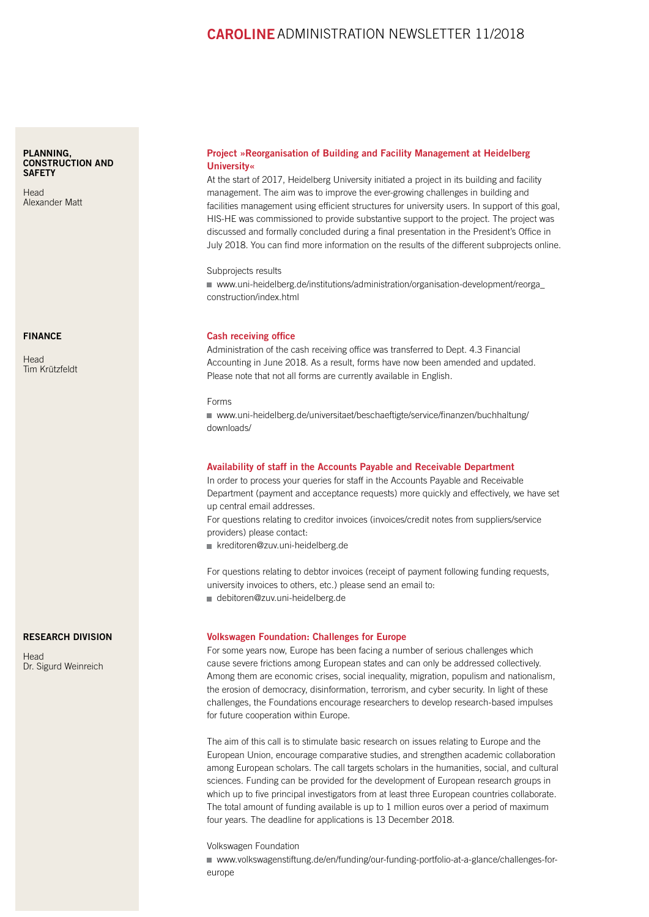# CAROLINE ADMINISTRATION NEWSLETTER 11/2018

### <span id="page-1-0"></span>[PLANNING,](https://www.uni-heidelberg.de/institutions/administration/construction/index.html)  [CONSTRUCTION AND](https://www.uni-heidelberg.de/institutions/administration/construction/index.html)  **SAFFTY**

[Head](https://www.uni-heidelberg.de/institutions/administration/construction/index.html)  [Alexander Matt](https://www.uni-heidelberg.de/institutions/administration/construction/index.html)

### [FINANCE](https://www.uni-heidelberg.de/institutions/administration/finance/)

[Head](https://www.uni-heidelberg.de/institutions/administration/finance/)  [Tim Krützfeldt](https://www.uni-heidelberg.de/institutions/administration/finance/)

### [RESEARCH DIVISION](http://www.uni-heidelberg.de/institutions/administration/research/index.html)

**[Head](http://www.uni-heidelberg.de/institutions/administration/research/index.html)** [Dr. Sigurd Weinreich](http://www.uni-heidelberg.de/institutions/administration/research/index.html)

## Project »Reorganisation of Building and Facility Management at Heidelberg University«

At the start of 2017, Heidelberg University initiated a project in its building and facility management. The aim was to improve the ever-growing challenges in building and facilities management using efficient structures for university users. In support of this goal, HIS-HE was commissioned to provide substantive support to the project. The project was discussed and formally concluded during a final presentation in the President's Office in July 2018. You can find more information on the results of the different subprojects online.

Subprojects results

■ www.uni-heidelberg.de/institutions/administration/organisation-development/reorga [construction/index.html](https://www.uni-heidelberg.de/institutions/administration/organisation-development/reorga_construction/index.html)

### Cash receiving office

Administration of the cash receiving office was transferred to Dept. 4.3 Financial Accounting in June 2018. As a result, forms have now been amended and updated. Please note that not all forms are currently available in English.

### Forms

 [www.uni-heidelberg.de/universitaet/beschaeftigte/service/finanzen/buchhaltung/](https://www.uni-heidelberg.de/universitaet/beschaeftigte/service/finanzen/buchhaltung/downloads/) [downloads/](https://www.uni-heidelberg.de/universitaet/beschaeftigte/service/finanzen/buchhaltung/downloads/)

### Availability of staff in the Accounts Payable and Receivable Department

In order to process your queries for staff in the Accounts Payable and Receivable Department (payment and acceptance requests) more quickly and effectively, we have set up central email addresses.

For questions relating to creditor invoices (invoices/credit notes from suppliers/service providers) please contact:

kreditoren@zuv.uni-heidelberg.de

For questions relating to debtor invoices (receipt of payment following funding requests, university invoices to others, etc.) please send an email to:

debitoren@zuv.uni-heidelberg.de

### Volkswagen Foundation: Challenges for Europe

For some years now, Europe has been facing a number of serious challenges which cause severe frictions among European states and can only be addressed collectively. Among them are economic crises, social inequality, migration, populism and nationalism, the erosion of democracy, disinformation, terrorism, and cyber security. In light of these challenges, the Foundations encourage researchers to develop research-based impulses for future cooperation within Europe.

The aim of this call is to stimulate basic research on issues relating to Europe and the European Union, encourage comparative studies, and strengthen academic collaboration among European scholars. The call targets scholars in the humanities, social, and cultural sciences. Funding can be provided for the development of European research groups in which up to five principal investigators from at least three European countries collaborate. The total amount of funding available is up to 1 million euros over a period of maximum four years. The deadline for applications is 13 December 2018.

### Volkswagen Foundation

 [www.volkswagenstiftung.de/en/funding/our-funding-portfolio-at-a-glance/challenges-for](https://www.volkswagenstiftung.de/en/funding/our-funding-portfolio-at-a-glance/challenges-for-europe)[europe](https://www.volkswagenstiftung.de/en/funding/our-funding-portfolio-at-a-glance/challenges-for-europe)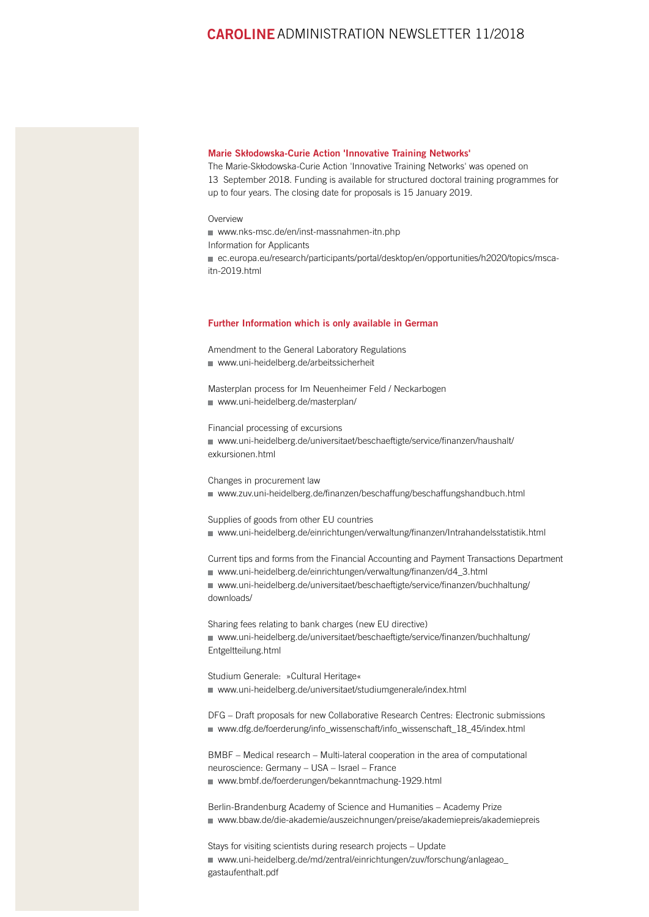# <span id="page-2-0"></span>CAROLINEADMINISTRATION NEWSLETTER 11/2018

### Marie Skłodowska-Curie Action 'Innovative Training Networks'

The Marie-Skłodowska-Curie Action 'Innovative Training Networks' was opened on 13 September 2018. Funding is available for structured doctoral training programmes for up to four years. The closing date for proposals is 15 January 2019.

### Overview

[www.nks-msc.de/en/inst-massnahmen-itn.php](https://www.nks-msc.de/en/inst-massnahmen-itn.php)

Information for Applicants

■ [ec.europa.eu/research/participants/portal/desktop/en/opportunities/h2020/topics/msca](http://ec.europa.eu/research/participants/portal/desktop/en/opportunities/h2020/topics/msca-itn-2019.html)itn-2019 html

### Further Information which is only available in German

Amendment to the General Laboratory Regulations [www.uni-heidelberg.de/arbeitssicherheit](https://www.uni-heidelberg.de/universitaet/beschaeftigte/service/sicherheit/arbeitssicherheit.html)

Masterplan process for Im Neuenheimer Feld / Neckarbogen [www.uni-heidelberg.de/masterplan/](https://www.uni-heidelberg.de/masterplan/)

Financial processing of excursions ■ [www.uni-heidelberg.de/universitaet/beschaeftigte/service/finanzen/haushalt/](https://www.uni-heidelberg.de/universitaet/beschaeftigte/service/finanzen/haushalt/exkursionen.html) [exkursionen.html](https://www.uni-heidelberg.de/universitaet/beschaeftigte/service/finanzen/haushalt/exkursionen.html)

Changes in procurement law ■ [www.zuv.uni-heidelberg.de/finanzen/beschaffung/beschaffungshandbuch.html](https://www.zuv.uni-heidelberg.de/finanzen/beschaffung/beschaffungshandbuch.html)

Supplies of goods from other EU countries [www.uni-heidelberg.de/einrichtungen/verwaltung/finanzen/Intrahandelsstatistik.html](https://www.uni-heidelberg.de/einrichtungen/verwaltung/finanzen/Intrahandelsstatistik.html)

Current tips and forms from the Financial Accounting and Payment Transactions Department ■ [www.uni-heidelberg.de/einrichtungen/verwaltung/finanzen/d4\\_3.html](https://www.uni-heidelberg.de/einrichtungen/verwaltung/finanzen/d4_3.html)

 [www.uni-heidelberg.de/universitaet/beschaeftigte/service/finanzen/buchhaltung/](https://www.uni-heidelberg.de/universitaet/beschaeftigte/service/finanzen/buchhaltung/downloads/) [downloads/](https://www.uni-heidelberg.de/universitaet/beschaeftigte/service/finanzen/buchhaltung/downloads/)

Sharing fees relating to bank charges (new EU directive) ■ [www.uni-heidelberg.de/universitaet/beschaeftigte/service/finanzen/buchhaltung/](https://www.uni-heidelberg.de/universitaet/beschaeftigte/service/finanzen/buchhaltung/Entgeltteilung.html) [Entgeltteilung.html](https://www.uni-heidelberg.de/universitaet/beschaeftigte/service/finanzen/buchhaltung/Entgeltteilung.html)

Studium Generale: »Cultural Heritage« [www.uni-heidelberg.de/universitaet/studiumgenerale/index.html](https://www.uni-heidelberg.de/universitaet/studiumgenerale/index.html)

DFG – Draft proposals for new Collaborative Research Centres: Electronic submissions ■ [www.dfg.de/foerderung/info\\_wissenschaft/info\\_wissenschaft\\_18\\_45/index.html](http://www.dfg.de/foerderung/info_wissenschaft/info_wissenschaft_18_45/index.html)

BMBF – Medical research – Multi-lateral cooperation in the area of computational neuroscience: Germany – USA – Israel – France [www.bmbf.de/foerderungen/bekanntmachung-1929.html](https://www.bmbf.de/foerderungen/bekanntmachung-1929.html)

Berlin-Brandenburg Academy of Science and Humanities – Academy Prize [www.bbaw.de/die-akademie/auszeichnungen/preise/akademiepreis/akademiepreis](http://www.bbaw.de/die-akademie/auszeichnungen/preise/akademiepreis/akademiepreis)

Stays for visiting scientists during research projects – Update ■ [www.uni-heidelberg.de/md/zentral/einrichtungen/zuv/forschung/anlageao\\_](https://www.uni-heidelberg.de/md/zentral/einrichtungen/zuv/forschung/anlageao_gastaufenthalt.pdf) [gastaufenthalt.pdf](https://www.uni-heidelberg.de/md/zentral/einrichtungen/zuv/forschung/anlageao_gastaufenthalt.pdf)